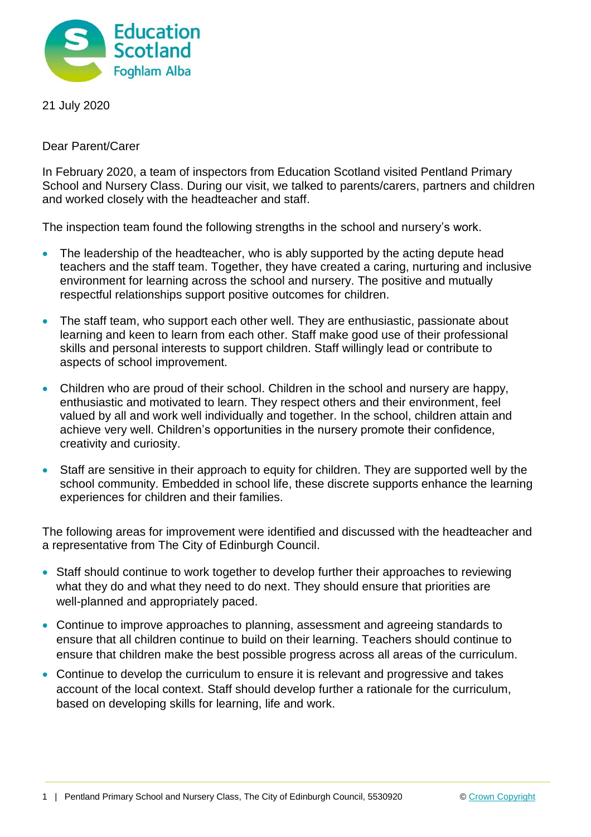

21 July 2020

Dear Parent/Carer

In February 2020, a team of inspectors from Education Scotland visited Pentland Primary School and Nursery Class. During our visit, we talked to parents/carers, partners and children and worked closely with the headteacher and staff.

The inspection team found the following strengths in the school and nursery's work.

- The leadership of the headteacher, who is ably supported by the acting depute head teachers and the staff team. Together, they have created a caring, nurturing and inclusive environment for learning across the school and nursery. The positive and mutually respectful relationships support positive outcomes for children.
- The staff team, who support each other well. They are enthusiastic, passionate about learning and keen to learn from each other. Staff make good use of their professional skills and personal interests to support children. Staff willingly lead or contribute to aspects of school improvement.
- Children who are proud of their school. Children in the school and nursery are happy, enthusiastic and motivated to learn. They respect others and their environment, feel valued by all and work well individually and together. In the school, children attain and achieve very well. Children's opportunities in the nursery promote their confidence, creativity and curiosity.
- Staff are sensitive in their approach to equity for children. They are supported well by the school community. Embedded in school life, these discrete supports enhance the learning experiences for children and their families.

The following areas for improvement were identified and discussed with the headteacher and a representative from The City of Edinburgh Council.

- Staff should continue to work together to develop further their approaches to reviewing what they do and what they need to do next. They should ensure that priorities are well-planned and appropriately paced.
- Continue to improve approaches to planning, assessment and agreeing standards to ensure that all children continue to build on their learning. Teachers should continue to ensure that children make the best possible progress across all areas of the curriculum.
- Continue to develop the curriculum to ensure it is relevant and progressive and takes account of the local context. Staff should develop further a rationale for the curriculum, based on developing skills for learning, life and work.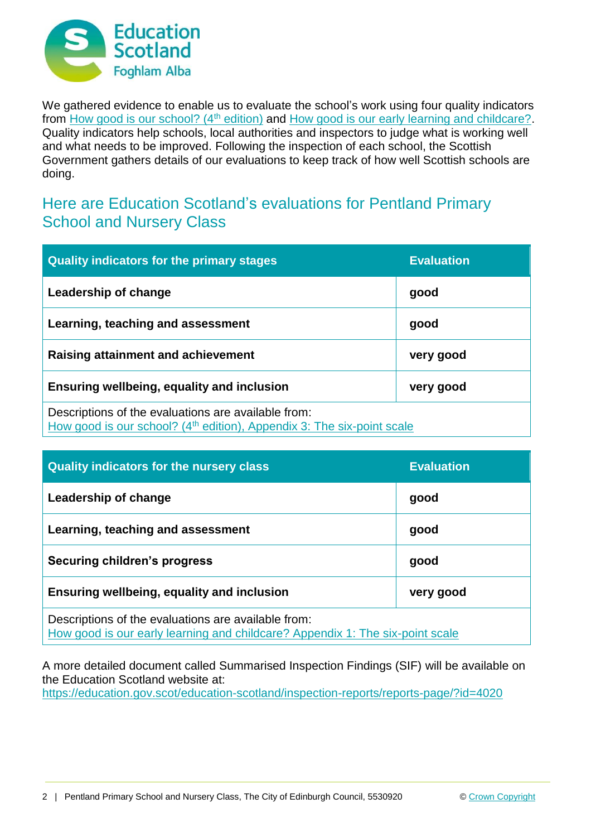

We gathered evidence to enable us to evaluate the school's work using four quality indicators from [How good is our school? \(4](https://education.gov.scot/improvement/Documents/Frameworks_SelfEvaluation/FRWK2_NIHeditHGIOS/FRWK2_HGIOS4.pdf)<sup>th</sup> edition) and [How good is our early learning and childcare?.](https://education.gov.scot/improvement/Documents/Frameworks_SelfEvaluation/FRWK1_NIHeditSelf-evaluationHGIELC/HGIOELC020316Revised.pdf) Quality indicators help schools, local authorities and inspectors to judge what is working well and what needs to be improved. Following the inspection of each school, the Scottish Government gathers details of our evaluations to keep track of how well Scottish schools are doing.

## Here are Education Scotland's evaluations for Pentland Primary School and Nursery Class

| <b>Quality indicators for the primary stages</b>                                                                                          | <b>Evaluation</b> |
|-------------------------------------------------------------------------------------------------------------------------------------------|-------------------|
| Leadership of change                                                                                                                      | good              |
| Learning, teaching and assessment                                                                                                         | good              |
| Raising attainment and achievement                                                                                                        | very good         |
| Ensuring wellbeing, equality and inclusion                                                                                                | very good         |
| Descriptions of the evaluations are available from:<br>How good is our school? (4 <sup>th</sup> edition), Appendix 3: The six-point scale |                   |

| <b>Quality indicators for the nursery class</b>                                                                                      | <b>Evaluation</b> |
|--------------------------------------------------------------------------------------------------------------------------------------|-------------------|
| Leadership of change                                                                                                                 | good              |
| Learning, teaching and assessment                                                                                                    | good              |
| <b>Securing children's progress</b>                                                                                                  | good              |
| Ensuring wellbeing, equality and inclusion                                                                                           | very good         |
| Descriptions of the evaluations are available from:<br>How good is our early learning and childcare? Appendix 1: The six-point scale |                   |

A more detailed document called Summarised Inspection Findings (SIF) will be available on the Education Scotland website at:

<https://education.gov.scot/education-scotland/inspection-reports/reports-page/?id=4020>